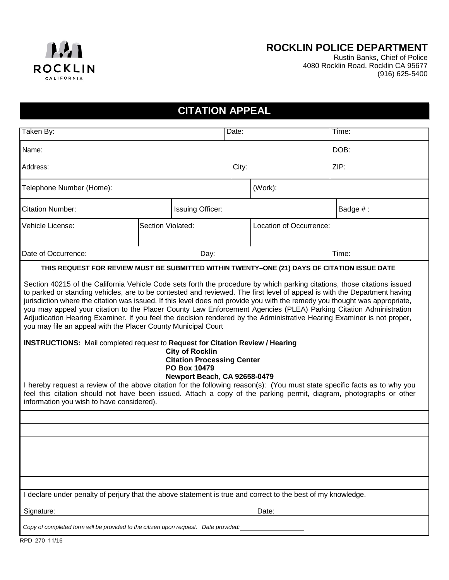

## **ROCKLIN POLICE DEPARTMENT**

Rustin Banks, Chief of Police 4080 Rocklin Road, Rocklin CA 95677 (916) 625-5400

## **CITATION APPEAL**

| Taken By:                                                                                                                                                                                                                                                                                                                                                                                                                                                                                                                                                                                                                                                                                                                                                                                                                                                                                                                                                                                                                                                                                                                                                                                                                                                                                                   |                   |                         |      | Date: |  |          | Time: |  |
|-------------------------------------------------------------------------------------------------------------------------------------------------------------------------------------------------------------------------------------------------------------------------------------------------------------------------------------------------------------------------------------------------------------------------------------------------------------------------------------------------------------------------------------------------------------------------------------------------------------------------------------------------------------------------------------------------------------------------------------------------------------------------------------------------------------------------------------------------------------------------------------------------------------------------------------------------------------------------------------------------------------------------------------------------------------------------------------------------------------------------------------------------------------------------------------------------------------------------------------------------------------------------------------------------------------|-------------------|-------------------------|------|-------|--|----------|-------|--|
| Name:                                                                                                                                                                                                                                                                                                                                                                                                                                                                                                                                                                                                                                                                                                                                                                                                                                                                                                                                                                                                                                                                                                                                                                                                                                                                                                       |                   |                         |      |       |  |          | DOB:  |  |
| Address:                                                                                                                                                                                                                                                                                                                                                                                                                                                                                                                                                                                                                                                                                                                                                                                                                                                                                                                                                                                                                                                                                                                                                                                                                                                                                                    |                   |                         |      | City: |  | ZIP:     |       |  |
| (Work):<br>Telephone Number (Home):                                                                                                                                                                                                                                                                                                                                                                                                                                                                                                                                                                                                                                                                                                                                                                                                                                                                                                                                                                                                                                                                                                                                                                                                                                                                         |                   |                         |      |       |  |          |       |  |
| <b>Citation Number:</b>                                                                                                                                                                                                                                                                                                                                                                                                                                                                                                                                                                                                                                                                                                                                                                                                                                                                                                                                                                                                                                                                                                                                                                                                                                                                                     |                   | <b>Issuing Officer:</b> |      |       |  | Badge #: |       |  |
| Vehicle License:                                                                                                                                                                                                                                                                                                                                                                                                                                                                                                                                                                                                                                                                                                                                                                                                                                                                                                                                                                                                                                                                                                                                                                                                                                                                                            | Section Violated: | Location of Occurrence: |      |       |  |          |       |  |
| Date of Occurrence:                                                                                                                                                                                                                                                                                                                                                                                                                                                                                                                                                                                                                                                                                                                                                                                                                                                                                                                                                                                                                                                                                                                                                                                                                                                                                         |                   |                         | Day: |       |  |          | Time: |  |
| THIS REQUEST FOR REVIEW MUST BE SUBMITTED WITHIN TWENTY-ONE (21) DAYS OF CITATION ISSUE DATE<br>Section 40215 of the California Vehicle Code sets forth the procedure by which parking citations, those citations issued<br>to parked or standing vehicles, are to be contested and reviewed. The first level of appeal is with the Department having<br>jurisdiction where the citation was issued. If this level does not provide you with the remedy you thought was appropriate,<br>you may appeal your citation to the Placer County Law Enforcement Agencies (PLEA) Parking Citation Administration<br>Adjudication Hearing Examiner. If you feel the decision rendered by the Administrative Hearing Examiner is not proper,<br>you may file an appeal with the Placer County Municipal Court<br><b>INSTRUCTIONS:</b> Mail completed request to Request for Citation Review / Hearing<br><b>City of Rocklin</b><br><b>Citation Processing Center</b><br>PO Box 10479<br>Newport Beach, CA 92658-0479<br>I hereby request a review of the above citation for the following reason(s): (You must state specific facts as to why you<br>feel this citation should not have been issued. Attach a copy of the parking permit, diagram, photographs or other<br>information you wish to have considered). |                   |                         |      |       |  |          |       |  |
|                                                                                                                                                                                                                                                                                                                                                                                                                                                                                                                                                                                                                                                                                                                                                                                                                                                                                                                                                                                                                                                                                                                                                                                                                                                                                                             |                   |                         |      |       |  |          |       |  |
|                                                                                                                                                                                                                                                                                                                                                                                                                                                                                                                                                                                                                                                                                                                                                                                                                                                                                                                                                                                                                                                                                                                                                                                                                                                                                                             |                   |                         |      |       |  |          |       |  |
|                                                                                                                                                                                                                                                                                                                                                                                                                                                                                                                                                                                                                                                                                                                                                                                                                                                                                                                                                                                                                                                                                                                                                                                                                                                                                                             |                   |                         |      |       |  |          |       |  |
|                                                                                                                                                                                                                                                                                                                                                                                                                                                                                                                                                                                                                                                                                                                                                                                                                                                                                                                                                                                                                                                                                                                                                                                                                                                                                                             |                   |                         |      |       |  |          |       |  |
|                                                                                                                                                                                                                                                                                                                                                                                                                                                                                                                                                                                                                                                                                                                                                                                                                                                                                                                                                                                                                                                                                                                                                                                                                                                                                                             |                   |                         |      |       |  |          |       |  |
| I declare under penalty of perjury that the above statement is true and correct to the best of my knowledge.                                                                                                                                                                                                                                                                                                                                                                                                                                                                                                                                                                                                                                                                                                                                                                                                                                                                                                                                                                                                                                                                                                                                                                                                |                   |                         |      |       |  |          |       |  |
| Signature:<br>Date:                                                                                                                                                                                                                                                                                                                                                                                                                                                                                                                                                                                                                                                                                                                                                                                                                                                                                                                                                                                                                                                                                                                                                                                                                                                                                         |                   |                         |      |       |  |          |       |  |
| Copy of completed form will be provided to the citizen upon request. Date provided:                                                                                                                                                                                                                                                                                                                                                                                                                                                                                                                                                                                                                                                                                                                                                                                                                                                                                                                                                                                                                                                                                                                                                                                                                         |                   |                         |      |       |  |          |       |  |

RPD 270 11/16